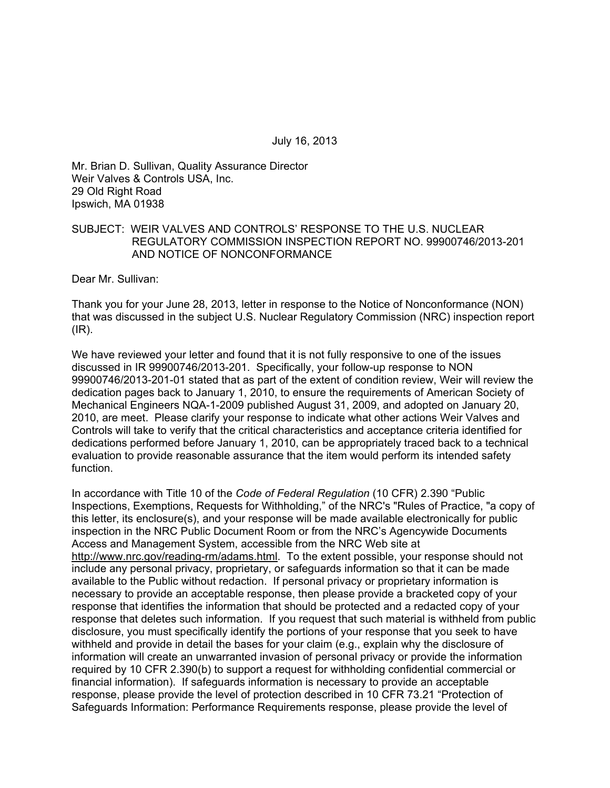July 16, 2013

Mr. Brian D. Sullivan, Quality Assurance Director Weir Valves & Controls USA, Inc. 29 Old Right Road Ipswich, MA 01938

### SUBJECT: WEIR VALVES AND CONTROLS' RESPONSE TO THE U.S. NUCLEAR REGULATORY COMMISSION INSPECTION REPORT NO. 99900746/2013-201 AND NOTICE OF NONCONFORMANCE

Dear Mr. Sullivan:

Thank you for your June 28, 2013, letter in response to the Notice of Nonconformance (NON) that was discussed in the subject U.S. Nuclear Regulatory Commission (NRC) inspection report  $(IR)$ .

We have reviewed your letter and found that it is not fully responsive to one of the issues discussed in IR 99900746/2013-201. Specifically, your follow-up response to NON 99900746/2013-201-01 stated that as part of the extent of condition review, Weir will review the dedication pages back to January 1, 2010, to ensure the requirements of American Society of Mechanical Engineers NQA-1-2009 published August 31, 2009, and adopted on January 20, 2010, are meet. Please clarify your response to indicate what other actions Weir Valves and Controls will take to verify that the critical characteristics and acceptance criteria identified for dedications performed before January 1, 2010, can be appropriately traced back to a technical evaluation to provide reasonable assurance that the item would perform its intended safety function.

In accordance with Title 10 of the *Code of Federal Regulation* (10 CFR) 2.390 "Public Inspections, Exemptions, Requests for Withholding," of the NRC's "Rules of Practice, "a copy of this letter, its enclosure(s), and your response will be made available electronically for public inspection in the NRC Public Document Room or from the NRC's Agencywide Documents Access and Management System, accessible from the NRC Web site at http://www.nrc.gov/reading-rm/adams.html. To the extent possible, your response should not include any personal privacy, proprietary, or safeguards information so that it can be made available to the Public without redaction. If personal privacy or proprietary information is necessary to provide an acceptable response, then please provide a bracketed copy of your response that identifies the information that should be protected and a redacted copy of your response that deletes such information. If you request that such material is withheld from public disclosure, you must specifically identify the portions of your response that you seek to have withheld and provide in detail the bases for your claim (e.g., explain why the disclosure of information will create an unwarranted invasion of personal privacy or provide the information required by 10 CFR 2.390(b) to support a request for withholding confidential commercial or financial information). If safeguards information is necessary to provide an acceptable response, please provide the level of protection described in 10 CFR 73.21 "Protection of Safeguards Information: Performance Requirements response, please provide the level of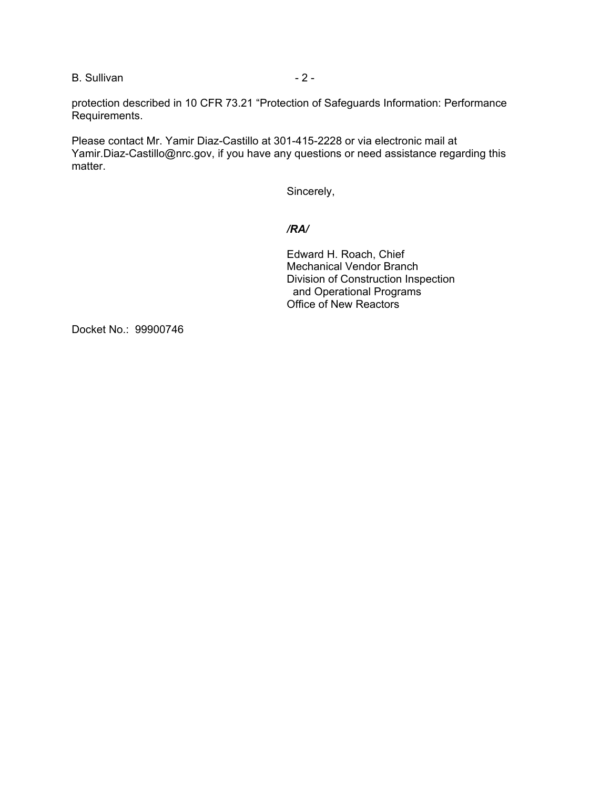B. Sullivan - 2 -

protection described in 10 CFR 73.21 "Protection of Safeguards Information: Performance Requirements.

Please contact Mr. Yamir Diaz-Castillo at 301-415-2228 or via electronic mail at Yamir.Diaz-Castillo@nrc.gov, if you have any questions or need assistance regarding this matter.

Sincerely,

## */RA/*

Edward H. Roach, Chief Mechanical Vendor Branch Division of Construction Inspection and Operational Programs Office of New Reactors

Docket No.: 99900746